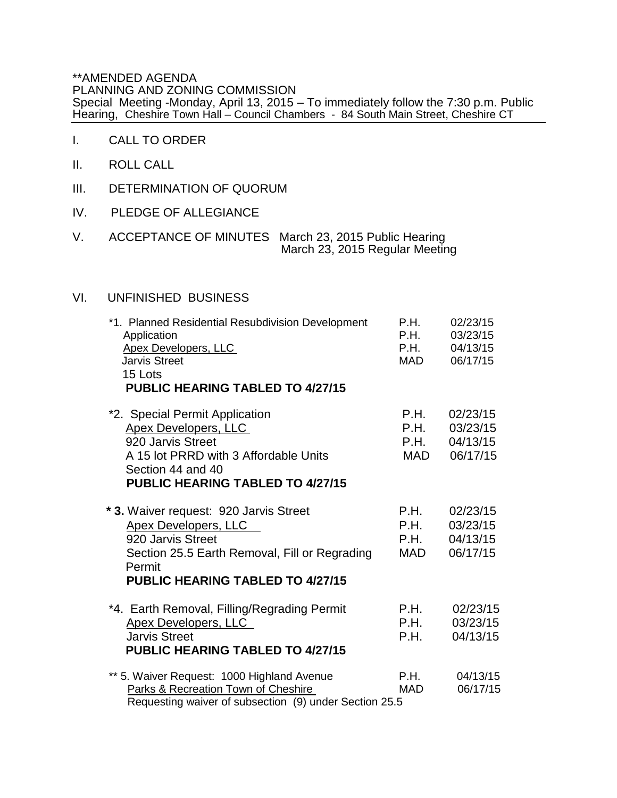\*\*AMENDED AGENDA PLANNING AND ZONING COMMISSION Special Meeting -Monday, April 13, 2015 – To immediately follow the 7:30 p.m. Public Hearing, Cheshire Town Hall – Council Chambers - 84 South Main Street, Cheshire CT

- I. CALL TO ORDER
- II. ROLL CALL
- III. DETERMINATION OF QUORUM
- IV. PLEDGE OF ALLEGIANCE
- V. ACCEPTANCE OF MINUTES March 23, 2015 Public Hearing March 23, 2015 Regular Meeting

## VI. UNFINISHED BUSINESS

| *1. Planned Residential Resubdivision Development<br>Application | P.H.<br>P.H. | 02/23/15<br>03/23/15 |
|------------------------------------------------------------------|--------------|----------------------|
| <b>Apex Developers, LLC</b>                                      | P.H.         | 04/13/15             |
| <b>Jarvis Street</b>                                             | MAD          | 06/17/15             |
| 15 Lots                                                          |              |                      |
| <b>PUBLIC HEARING TABLED TO 4/27/15</b>                          |              |                      |
| *2. Special Permit Application                                   | P.H.         | 02/23/15             |
| <b>Apex Developers, LLC</b>                                      | P.H.         | 03/23/15             |
| 920 Jarvis Street                                                | P.H.         | 04/13/15             |
| A 15 lot PRRD with 3 Affordable Units                            | MAD          | 06/17/15             |
| Section 44 and 40                                                |              |                      |
| <b>PUBLIC HEARING TABLED TO 4/27/15</b>                          |              |                      |
| * 3. Waiver request: 920 Jarvis Street                           | P.H.         | 02/23/15             |
| <b>Apex Developers, LLC</b>                                      | P.H.         | 03/23/15             |
| 920 Jarvis Street                                                | P.H.         | 04/13/15             |
| Section 25.5 Earth Removal, Fill or Regrading<br>Permit          | MAD          | 06/17/15             |
| PUBLIC HEARING TABLED TO 4/27/15                                 |              |                      |
| *4. Earth Removal, Filling/Regrading Permit                      | P.H.         | 02/23/15             |
| <b>Apex Developers, LLC</b>                                      | P.H.         | 03/23/15             |
| <b>Jarvis Street</b>                                             | P.H.         | 04/13/15             |
| PUBLIC HEARING TABLED TO 4/27/15                                 |              |                      |
| ** 5. Waiver Request: 1000 Highland Avenue                       | P.H.         | 04/13/15             |
| Parks & Recreation Town of Cheshire                              | <b>MAD</b>   | 06/17/15             |
| Requesting waiver of subsection (9) under Section 25.5           |              |                      |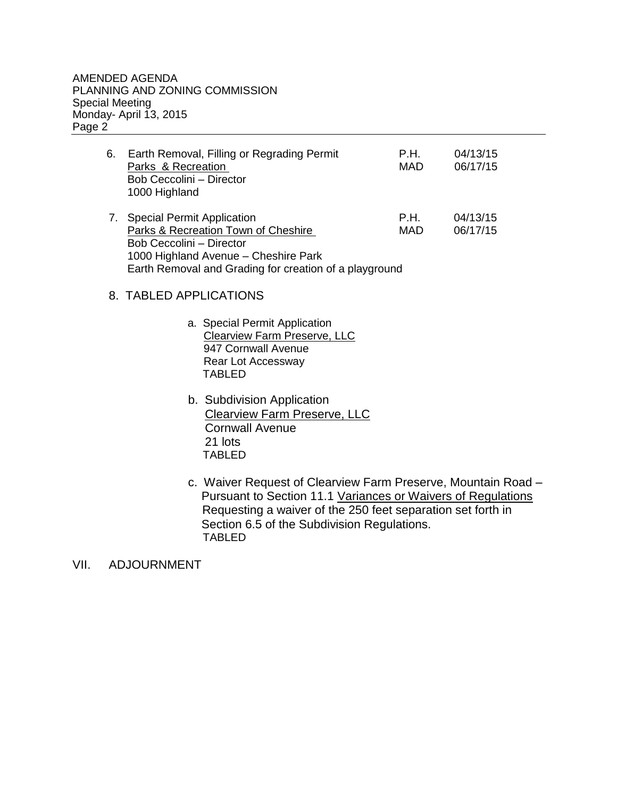| 6. | Earth Removal, Filling or Regrading Permit<br>Parks & Recreation<br>Bob Ceccolini - Director<br>1000 Highland | P.H.<br>MAD | 04/13/15<br>06/17/15 |
|----|---------------------------------------------------------------------------------------------------------------|-------------|----------------------|
|    | 7. Special Permit Application<br>Parks & Recreation Town of Cheshire<br>Bob Ceccolini - Director              | P.H.<br>MAD | 04/13/15<br>06/17/15 |

 1000 Highland Avenue – Cheshire Park Earth Removal and Grading for creation of a playground

## 8. TABLED APPLICATIONS

- a. Special Permit Application Clearview Farm Preserve, LLC 947 Cornwall Avenue Rear Lot Accessway TABLED
- b. Subdivision Application Clearview Farm Preserve, LLC Cornwall Avenue 21 lots TABLED
- c. Waiver Request of Clearview Farm Preserve, Mountain Road Pursuant to Section 11.1 Variances or Waivers of Regulations Requesting a waiver of the 250 feet separation set forth in Section 6.5 of the Subdivision Regulations. TABLED

VII. ADJOURNMENT